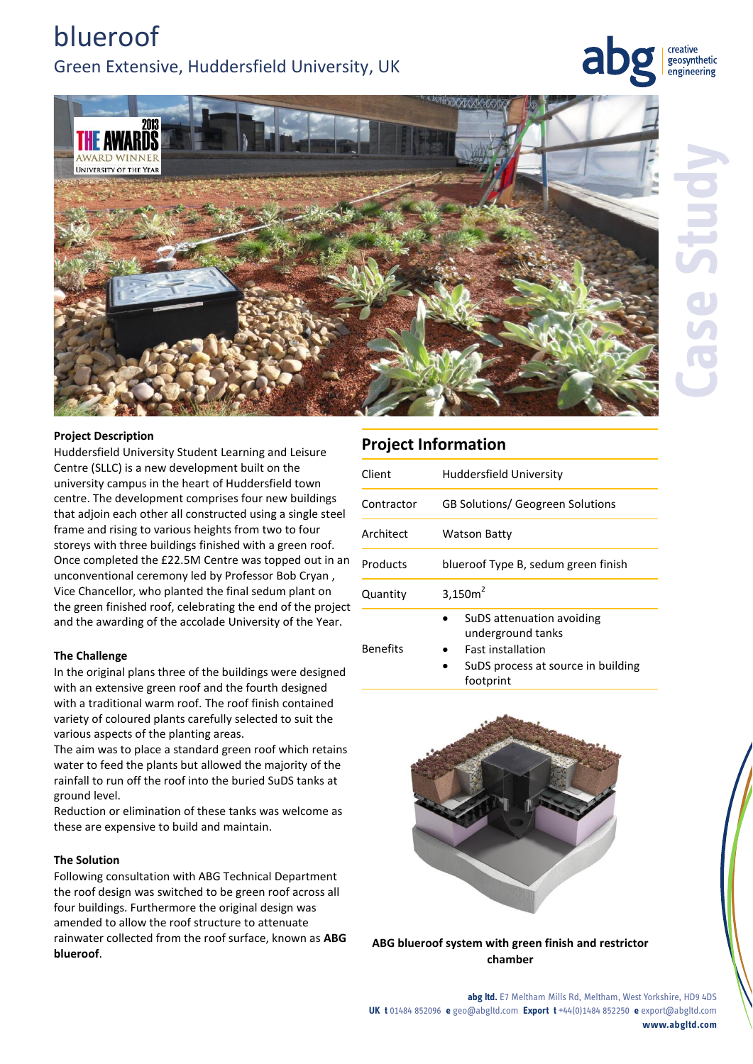# blueroof Green Extensive, Huddersfield University, UK

creative geosynthetic engineering



### **Project Description**

Huddersfield University Student Learning and Leisure Centre (SLLC) is a new development built on the university campus in the heart of Huddersfield town centre. The development comprises four new buildings that adjoin each other all constructed using a single steel frame and rising to various heights from two to four storeys with three buildings finished with a green roof. Once completed the £22.5M Centre was topped out in an unconventional ceremony led by Professor Bob Cryan , Vice Chancellor, who planted the final sedum plant on the green finished roof, celebrating the end of the project and the awarding of the accolade University of the Year.

### **The Challenge**

In the original plans three of the buildings were designed with an extensive green roof and the fourth designed with a traditional warm roof. The roof finish contained variety of coloured plants carefully selected to suit the various aspects of the planting areas.

The aim was to place a standard green roof which retains water to feed the plants but allowed the majority of the rainfall to run off the roof into the buried SuDS tanks at ground level.

Reduction or elimination of these tanks was welcome as these are expensive to build and maintain.

### **The Solution**

Following consultation with ABG Technical Department the roof design was switched to be green roof across all four buildings. Furthermore the original design was amended to allow the roof structure to attenuate rainwater collected from the roof surface, known as **ABG blueroof**.

## **Project Information**

| Client     | Huddersfield University                             |
|------------|-----------------------------------------------------|
| Contractor | <b>GB Solutions/ Geogreen Solutions</b>             |
| Architect  | Watson Batty                                        |
| Products   | blueroof Type B, sedum green finish                 |
| Quantity   | 3,150 $m2$                                          |
|            | SuDS attenuation avoiding<br>٠<br>underground tanks |

Fast installation

- Benefits
- SuDS process at source in building footprint



**ABG blueroof system with green finish and restrictor chamber**

**abg ltd.** E7 Meltham Mills Rd, Meltham, West Yorkshire, HD9 4DS **UK t** 01484 852096 **e** geo@abgltd.com **Export t** +44(0)1484 852250 **e** export@abgltd.com **www.abgltd.com**